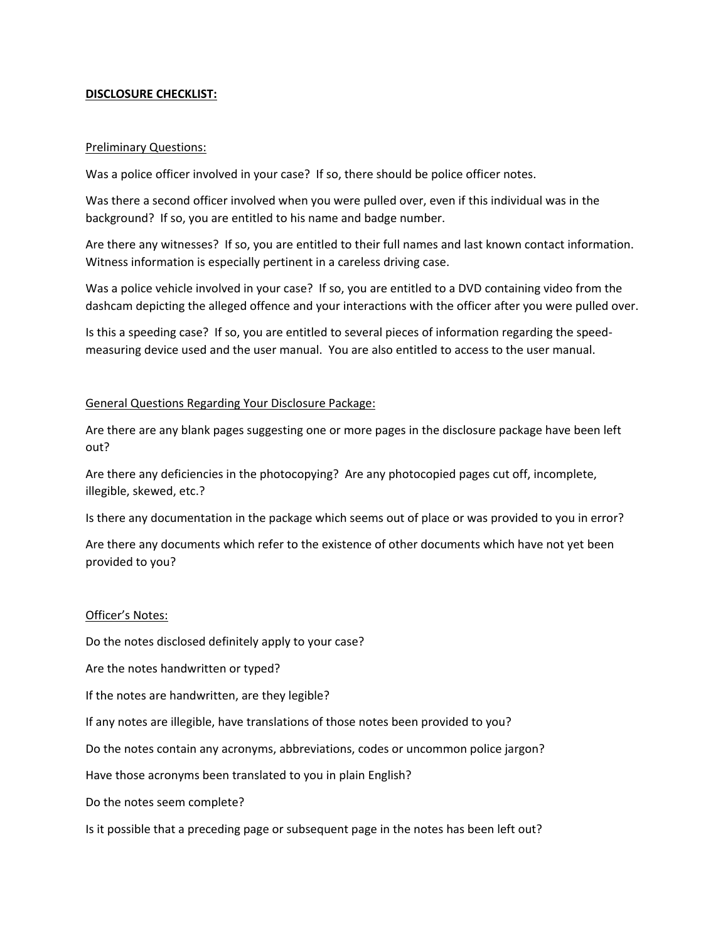### **DISCLOSURE CHECKLIST:**

### Preliminary Questions:

Was a police officer involved in your case? If so, there should be police officer notes.

Was there a second officer involved when you were pulled over, even if this individual was in the background? If so, you are entitled to his name and badge number.

Are there any witnesses? If so, you are entitled to their full names and last known contact information. Witness information is especially pertinent in a careless driving case.

Was a police vehicle involved in your case? If so, you are entitled to a DVD containing video from the dashcam depicting the alleged offence and your interactions with the officer after you were pulled over.

Is this a speeding case? If so, you are entitled to several pieces of information regarding the speedmeasuring device used and the user manual. You are also entitled to access to the user manual.

### General Questions Regarding Your Disclosure Package:

Are there are any blank pages suggesting one or more pages in the disclosure package have been left out?

Are there any deficiencies in the photocopying? Are any photocopied pages cut off, incomplete, illegible, skewed, etc.?

Is there any documentation in the package which seems out of place or was provided to you in error?

Are there any documents which refer to the existence of other documents which have not yet been provided to you?

### Officer's Notes:

Do the notes disclosed definitely apply to your case?

Are the notes handwritten or typed?

If the notes are handwritten, are they legible?

If any notes are illegible, have translations of those notes been provided to you?

Do the notes contain any acronyms, abbreviations, codes or uncommon police jargon?

Have those acronyms been translated to you in plain English?

Do the notes seem complete?

Is it possible that a preceding page or subsequent page in the notes has been left out?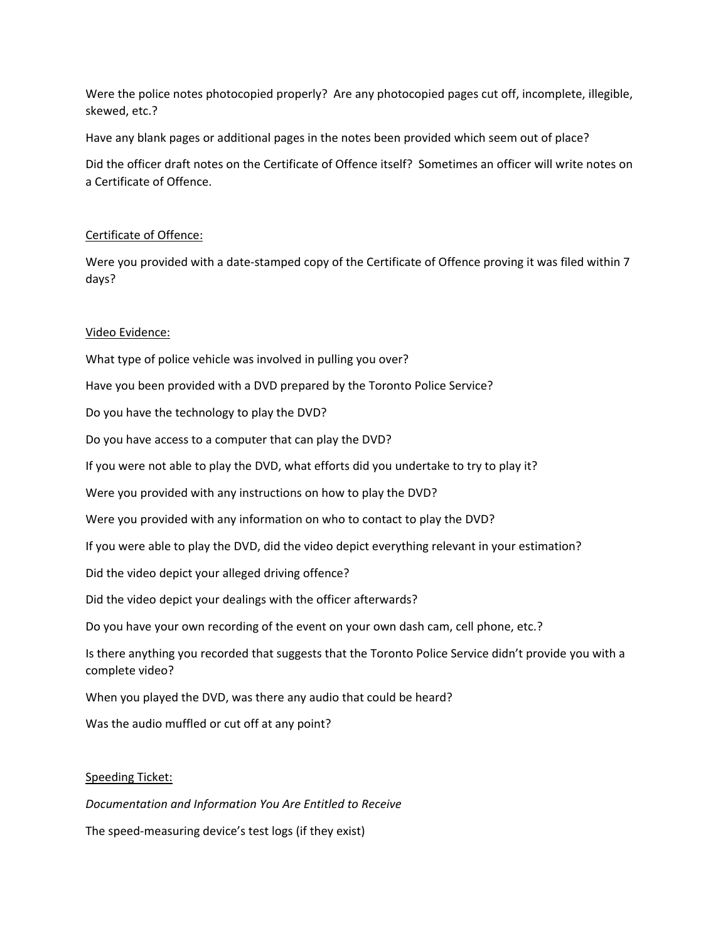Were the police notes photocopied properly? Are any photocopied pages cut off, incomplete, illegible, skewed, etc.?

Have any blank pages or additional pages in the notes been provided which seem out of place?

Did the officer draft notes on the Certificate of Offence itself? Sometimes an officer will write notes on a Certificate of Offence.

## Certificate of Offence:

Were you provided with a date-stamped copy of the Certificate of Offence proving it was filed within 7 days?

# Video Evidence:

What type of police vehicle was involved in pulling you over? Have you been provided with a DVD prepared by the Toronto Police Service? Do you have the technology to play the DVD? Do you have access to a computer that can play the DVD? If you were not able to play the DVD, what efforts did you undertake to try to play it? Were you provided with any instructions on how to play the DVD? Were you provided with any information on who to contact to play the DVD? If you were able to play the DVD, did the video depict everything relevant in your estimation? Did the video depict your alleged driving offence? Did the video depict your dealings with the officer afterwards? Do you have your own recording of the event on your own dash cam, cell phone, etc.? Is there anything you recorded that suggests that the Toronto Police Service didn't provide you with a complete video? When you played the DVD, was there any audio that could be heard? Was the audio muffled or cut off at any point?

# Speeding Ticket:

*Documentation and Information You Are Entitled to Receive*

The speed-measuring device's test logs (if they exist)